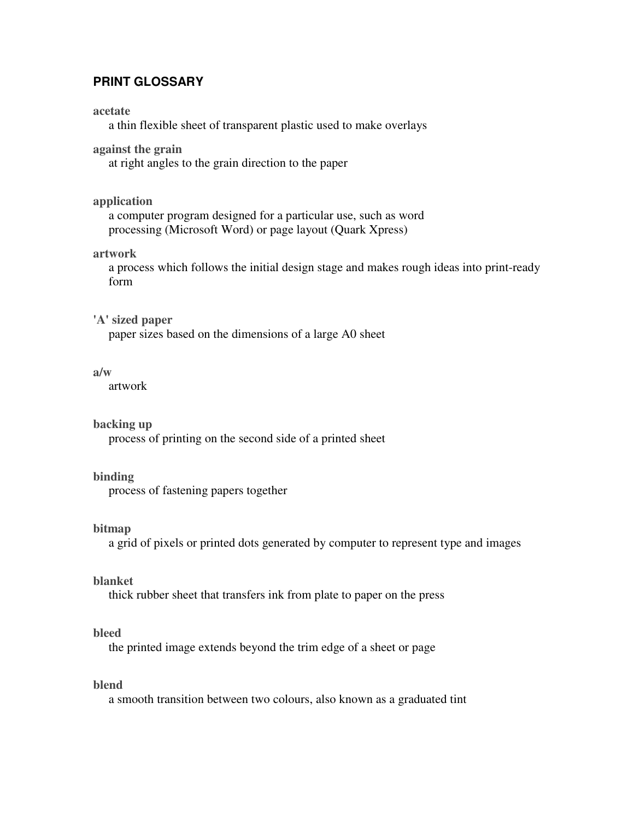# **PRINT GLOSSARY**

#### **acetate**

a thin flexible sheet of transparent plastic used to make overlays

## **against the grain**

at right angles to the grain direction to the paper

## **application**

a computer program designed for a particular use, such as word processing (Microsoft Word) or page layout (Quark Xpress)

### **artwork**

a process which follows the initial design stage and makes rough ideas into print-ready form

### **'A' sized paper**

paper sizes based on the dimensions of a large A0 sheet

### **a/w**

artwork

### **backing up**

process of printing on the second side of a printed sheet

### **binding**

process of fastening papers together

## **bitmap**

a grid of pixels or printed dots generated by computer to represent type and images

## **blanket**

thick rubber sheet that transfers ink from plate to paper on the press

# **bleed**

the printed image extends beyond the trim edge of a sheet or page

# **blend**

a smooth transition between two colours, also known as a graduated tint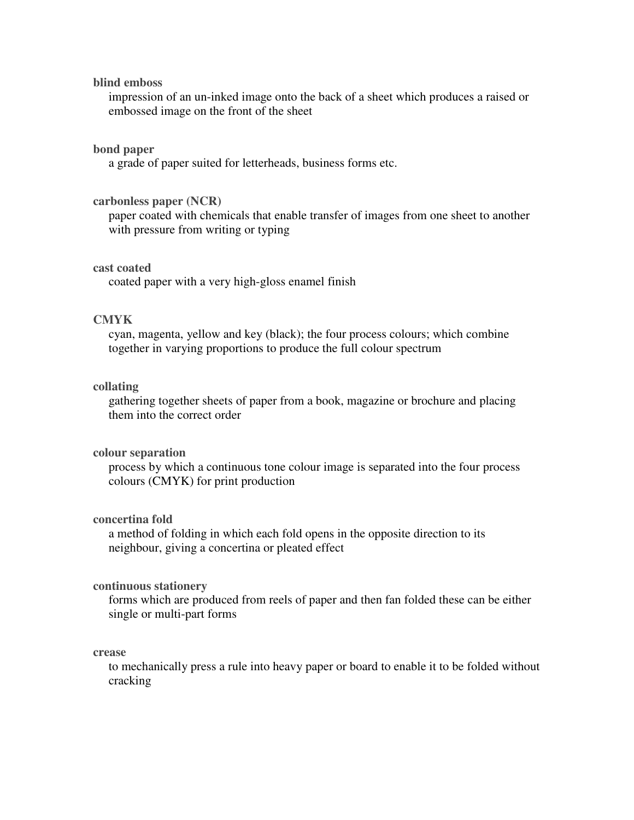### **blind emboss**

impression of an un-inked image onto the back of a sheet which produces a raised or embossed image on the front of the sheet

### **bond paper**

a grade of paper suited for letterheads, business forms etc.

### **carbonless paper (NCR)**

paper coated with chemicals that enable transfer of images from one sheet to another with pressure from writing or typing

#### **cast coated**

coated paper with a very high-gloss enamel finish

## **CMYK**

cyan, magenta, yellow and key (black); the four process colours; which combine together in varying proportions to produce the full colour spectrum

### **collating**

gathering together sheets of paper from a book, magazine or brochure and placing them into the correct order

## **colour separation**

process by which a continuous tone colour image is separated into the four process colours (CMYK) for print production

### **concertina fold**

a method of folding in which each fold opens in the opposite direction to its neighbour, giving a concertina or pleated effect

### **continuous stationery**

forms which are produced from reels of paper and then fan folded these can be either single or multi-part forms

#### **crease**

to mechanically press a rule into heavy paper or board to enable it to be folded without cracking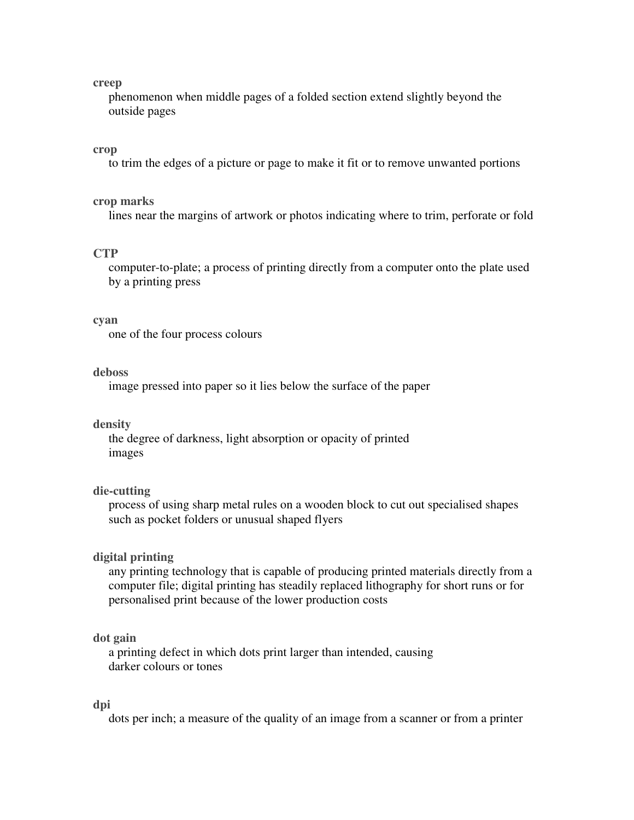#### **creep**

phenomenon when middle pages of a folded section extend slightly beyond the outside pages

#### **crop**

to trim the edges of a picture or page to make it fit or to remove unwanted portions

#### **crop marks**

lines near the margins of artwork or photos indicating where to trim, perforate or fold

### **CTP**

computer-to-plate; a process of printing directly from a computer onto the plate used by a printing press

#### **cyan**

one of the four process colours

### **deboss**

image pressed into paper so it lies below the surface of the paper

#### **density**

the degree of darkness, light absorption or opacity of printed images

### **die-cutting**

process of using sharp metal rules on a wooden block to cut out specialised shapes such as pocket folders or unusual shaped flyers

### **digital printing**

any printing technology that is capable of producing printed materials directly from a computer file; digital printing has steadily replaced lithography for short runs or for personalised print because of the lower production costs

### **dot gain**

a printing defect in which dots print larger than intended, causing darker colours or tones

#### **dpi**

dots per inch; a measure of the quality of an image from a scanner or from a printer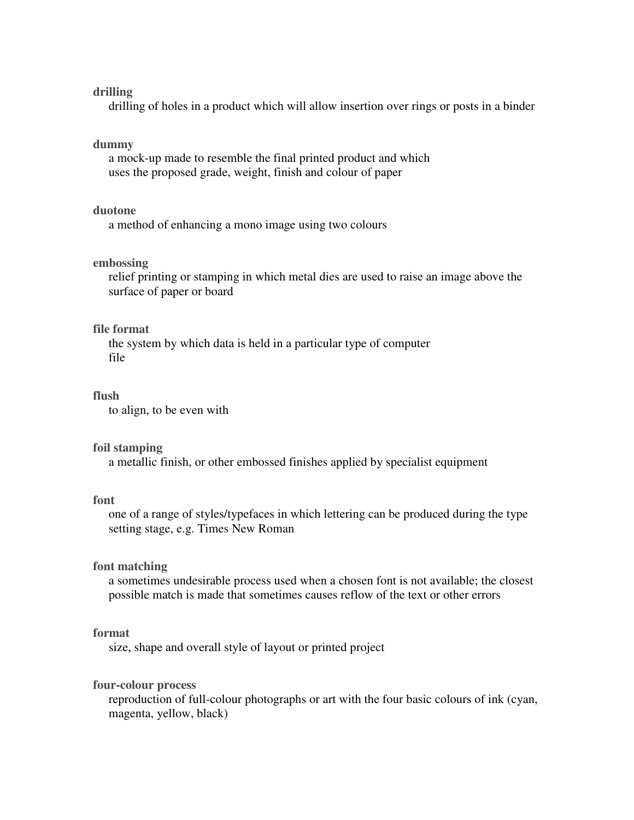### **drilling**

drilling of holes in a product which will allow insertion over rings or posts in a binder

### **dummy**

a mock-up made to resemble the final printed product and which uses the proposed grade, weight, finish and colour of paper

## **duotone**

a method of enhancing a mono image using two colours

### **embossing**

relief printing or stamping in which metal dies are used to raise an image above the surface of paper or board

#### **file format**

the system by which data is held in a particular type of computer file

### **flush**

to align, to be even with

#### **foil stamping**

a metallic finish, or other embossed finishes applied by specialist equipment

### **font**

one of a range of styles/typefaces in which lettering can be produced during the type setting stage, e.g. Times New Roman

### **font matching**

a sometimes undesirable process used when a chosen font is not available; the closest possible match is made that sometimes causes reflow of the text or other errors

## **format**

size, shape and overall style of layout or printed project

## **four-colour process**

reproduction of full-colour photographs or art with the four basic colours of ink (cyan, magenta, yellow, black)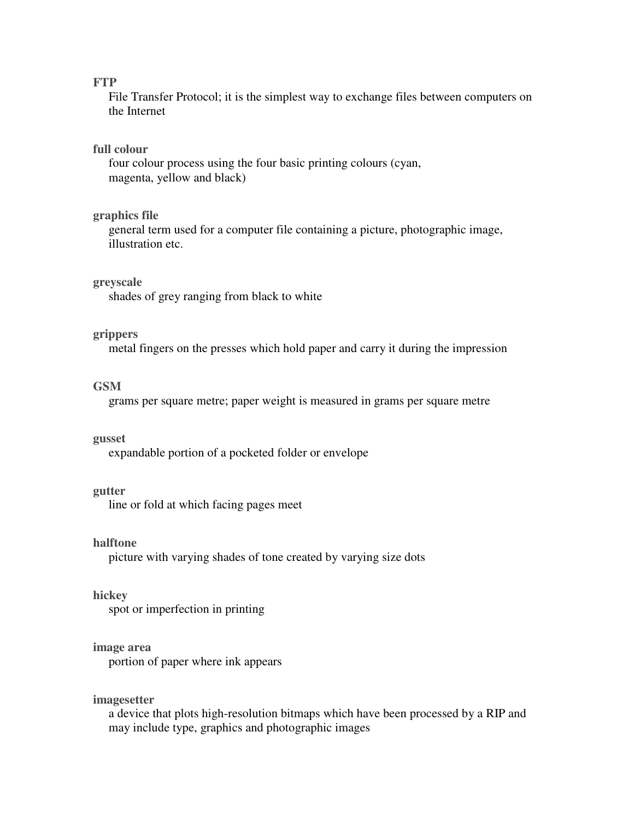## **FTP**

File Transfer Protocol; it is the simplest way to exchange files between computers on the Internet

### **full colour**

four colour process using the four basic printing colours (cyan, magenta, yellow and black)

### **graphics file**

general term used for a computer file containing a picture, photographic image, illustration etc.

### **greyscale**

shades of grey ranging from black to white

### **grippers**

metal fingers on the presses which hold paper and carry it during the impression

### **GSM**

grams per square metre; paper weight is measured in grams per square metre

#### **gusset**

expandable portion of a pocketed folder or envelope

### **gutter**

line or fold at which facing pages meet

### **halftone**

picture with varying shades of tone created by varying size dots

### **hickey**

spot or imperfection in printing

#### **image area**

portion of paper where ink appears

### **imagesetter**

a device that plots high-resolution bitmaps which have been processed by a RIP and may include type, graphics and photographic images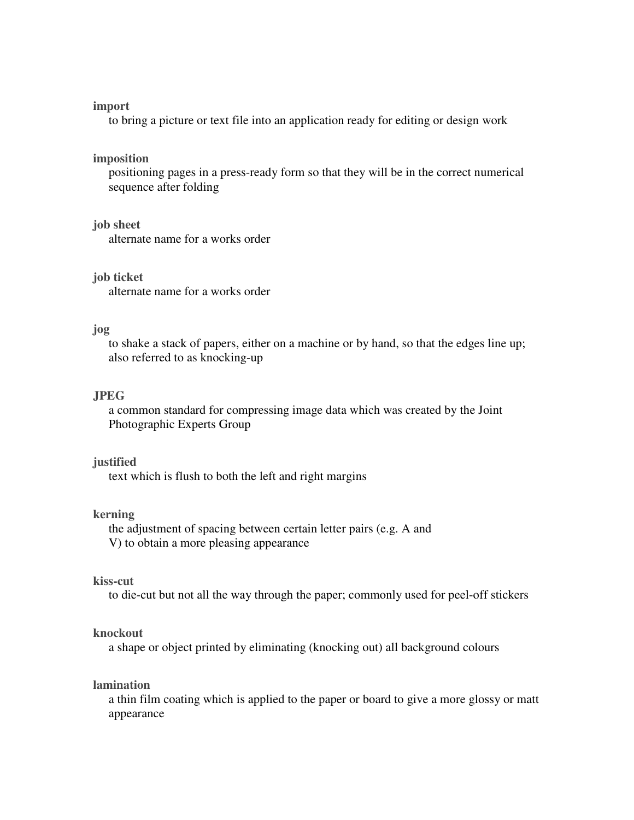#### **import**

to bring a picture or text file into an application ready for editing or design work

#### **imposition**

positioning pages in a press-ready form so that they will be in the correct numerical sequence after folding

### **job sheet**

alternate name for a works order

**job ticket** 

alternate name for a works order

### **jog**

to shake a stack of papers, either on a machine or by hand, so that the edges line up; also referred to as knocking-up

### **JPEG**

a common standard for compressing image data which was created by the Joint Photographic Experts Group

#### **justified**

text which is flush to both the left and right margins

## **kerning**

the adjustment of spacing between certain letter pairs (e.g. A and V) to obtain a more pleasing appearance

## **kiss-cut**

to die-cut but not all the way through the paper; commonly used for peel-off stickers

### **knockout**

a shape or object printed by eliminating (knocking out) all background colours

## **lamination**

a thin film coating which is applied to the paper or board to give a more glossy or matt appearance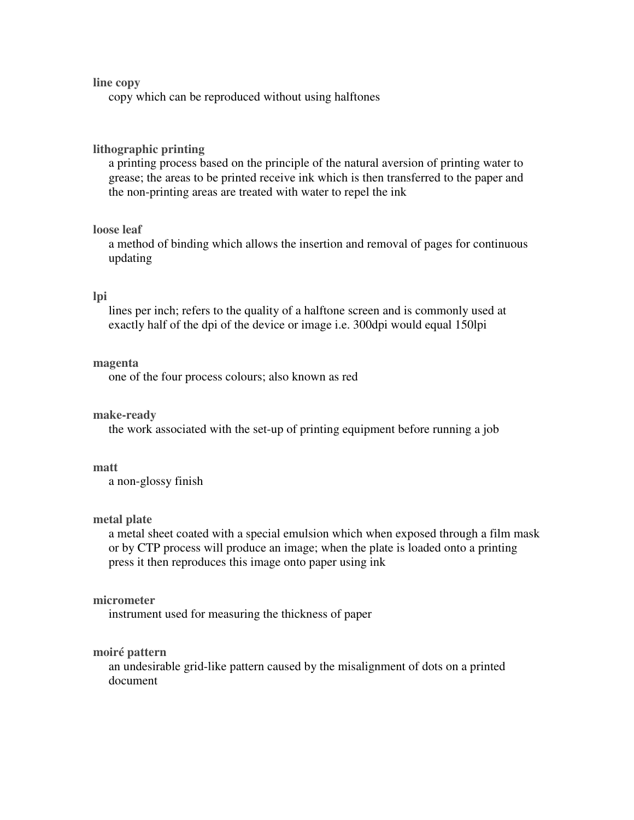## **line copy**

copy which can be reproduced without using halftones

### **lithographic printing**

a printing process based on the principle of the natural aversion of printing water to grease; the areas to be printed receive ink which is then transferred to the paper and the non-printing areas are treated with water to repel the ink

# **loose leaf**

a method of binding which allows the insertion and removal of pages for continuous updating

### **lpi**

lines per inch; refers to the quality of a halftone screen and is commonly used at exactly half of the dpi of the device or image i.e. 300dpi would equal 150lpi

#### **magenta**

one of the four process colours; also known as red

### **make-ready**

the work associated with the set-up of printing equipment before running a job

## **matt**

a non-glossy finish

### **metal plate**

a metal sheet coated with a special emulsion which when exposed through a film mask or by CTP process will produce an image; when the plate is loaded onto a printing press it then reproduces this image onto paper using ink

### **micrometer**

instrument used for measuring the thickness of paper

### **moiré pattern**

an undesirable grid-like pattern caused by the misalignment of dots on a printed document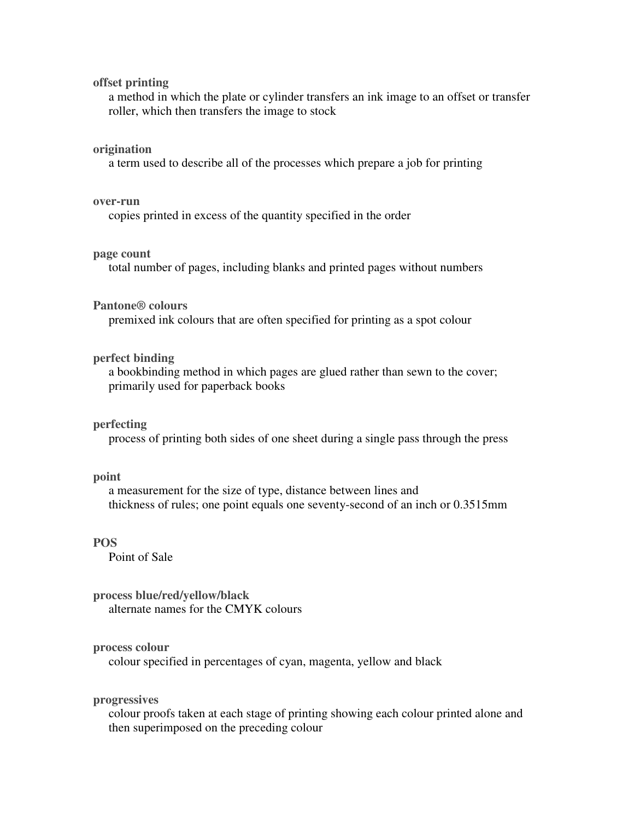### **offset printing**

a method in which the plate or cylinder transfers an ink image to an offset or transfer roller, which then transfers the image to stock

#### **origination**

a term used to describe all of the processes which prepare a job for printing

#### **over-run**

copies printed in excess of the quantity specified in the order

### **page count**

total number of pages, including blanks and printed pages without numbers

#### **Pantone® colours**

premixed ink colours that are often specified for printing as a spot colour

### **perfect binding**

a bookbinding method in which pages are glued rather than sewn to the cover; primarily used for paperback books

#### **perfecting**

process of printing both sides of one sheet during a single pass through the press

#### **point**

a measurement for the size of type, distance between lines and thickness of rules; one point equals one seventy-second of an inch or 0.3515mm

## **POS**

Point of Sale

**process blue/red/yellow/black**  alternate names for the CMYK colours

### **process colour**

colour specified in percentages of cyan, magenta, yellow and black

## **progressives**

colour proofs taken at each stage of printing showing each colour printed alone and then superimposed on the preceding colour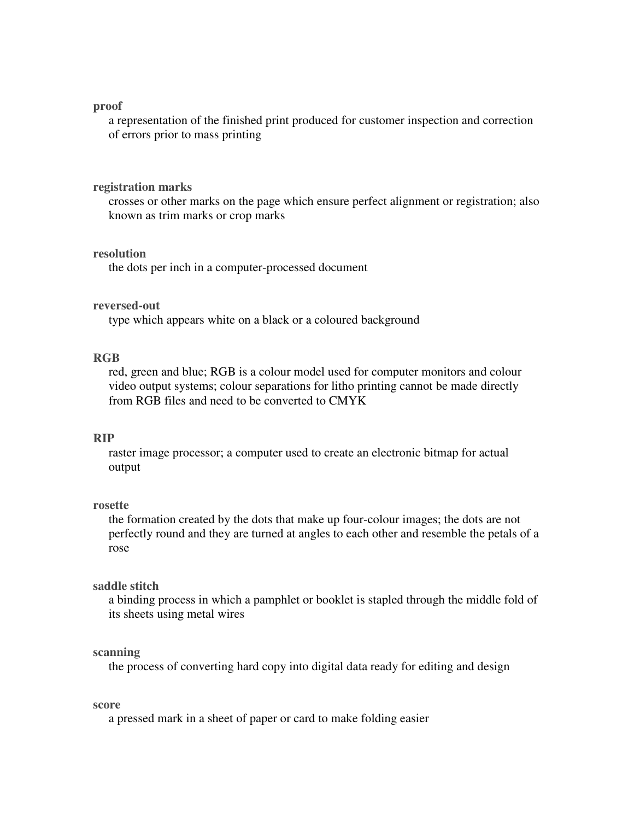#### **proof**

a representation of the finished print produced for customer inspection and correction of errors prior to mass printing

#### **registration marks**

crosses or other marks on the page which ensure perfect alignment or registration; also known as trim marks or crop marks

### **resolution**

the dots per inch in a computer-processed document

### **reversed-out**

type which appears white on a black or a coloured background

## **RGB**

red, green and blue; RGB is a colour model used for computer monitors and colour video output systems; colour separations for litho printing cannot be made directly from RGB files and need to be converted to CMYK

## **RIP**

raster image processor; a computer used to create an electronic bitmap for actual output

### **rosette**

the formation created by the dots that make up four-colour images; the dots are not perfectly round and they are turned at angles to each other and resemble the petals of a rose

### **saddle stitch**

a binding process in which a pamphlet or booklet is stapled through the middle fold of its sheets using metal wires

### **scanning**

the process of converting hard copy into digital data ready for editing and design

#### **score**

a pressed mark in a sheet of paper or card to make folding easier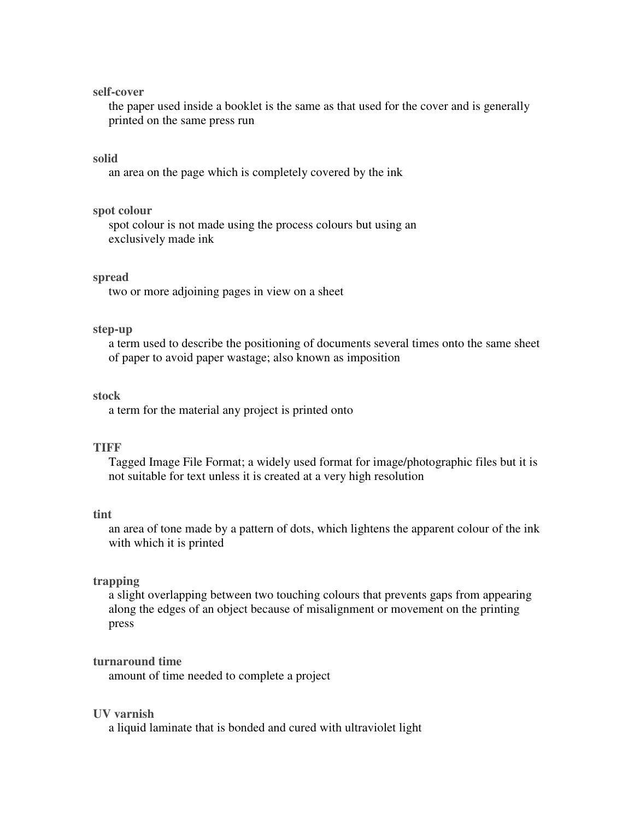### **self-cover**

the paper used inside a booklet is the same as that used for the cover and is generally printed on the same press run

### **solid**

an area on the page which is completely covered by the ink

### **spot colour**

spot colour is not made using the process colours but using an exclusively made ink

#### **spread**

two or more adjoining pages in view on a sheet

### **step-up**

a term used to describe the positioning of documents several times onto the same sheet of paper to avoid paper wastage; also known as imposition

#### **stock**

a term for the material any project is printed onto

## **TIFF**

Tagged Image File Format; a widely used format for image/photographic files but it is not suitable for text unless it is created at a very high resolution

#### **tint**

an area of tone made by a pattern of dots, which lightens the apparent colour of the ink with which it is printed

## **trapping**

a slight overlapping between two touching colours that prevents gaps from appearing along the edges of an object because of misalignment or movement on the printing press

### **turnaround time**

amount of time needed to complete a project

### **UV varnish**

a liquid laminate that is bonded and cured with ultraviolet light